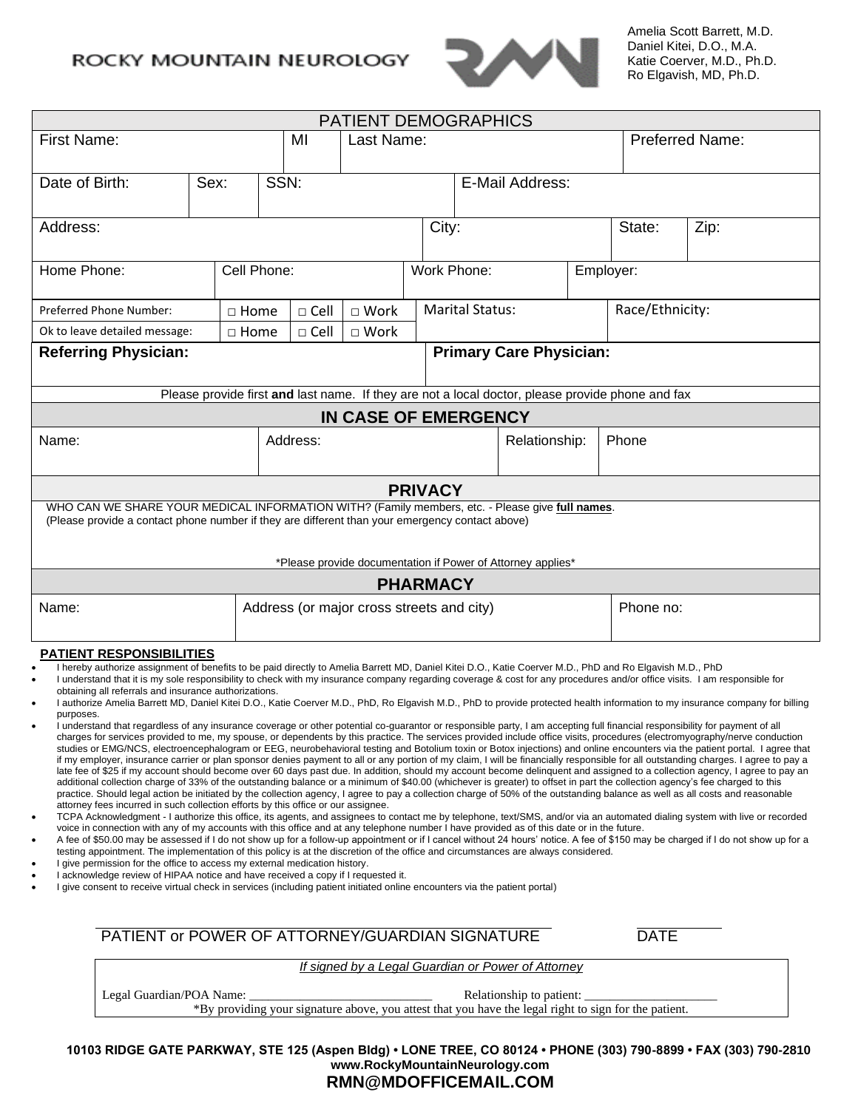## ROCKY MOUNTAIN NEUROLOGY



Amelia Scott Barrett, M.D. Daniel Kitei, D.O., M.A. Katie Coerver, M.D., Ph.D. Ro Elgavish, MD, Ph.D.

| PATIENT DEMOGRAPHICS                                                                                                                                                                                                                                                                                                                                                                                                                                                                                                                                                                                                                                                                                                                                                                                                                                                                                                                                                                                                                                                                                                                                                                                                                                                                                                                                                                                                                                                                                                                                                                                                                                                                                                                                                                                                                                                                                                                                                                                                                                                                                                                                                                                                                                                                                                                                                                                                                                                                                                                                                                                                                                                                                                                                                                                                                                                                                                                                                              |                                                                                                                                   |  |                  |                         |                      |                        |                          |                                                    |                 |                                                                                                  |  |
|-----------------------------------------------------------------------------------------------------------------------------------------------------------------------------------------------------------------------------------------------------------------------------------------------------------------------------------------------------------------------------------------------------------------------------------------------------------------------------------------------------------------------------------------------------------------------------------------------------------------------------------------------------------------------------------------------------------------------------------------------------------------------------------------------------------------------------------------------------------------------------------------------------------------------------------------------------------------------------------------------------------------------------------------------------------------------------------------------------------------------------------------------------------------------------------------------------------------------------------------------------------------------------------------------------------------------------------------------------------------------------------------------------------------------------------------------------------------------------------------------------------------------------------------------------------------------------------------------------------------------------------------------------------------------------------------------------------------------------------------------------------------------------------------------------------------------------------------------------------------------------------------------------------------------------------------------------------------------------------------------------------------------------------------------------------------------------------------------------------------------------------------------------------------------------------------------------------------------------------------------------------------------------------------------------------------------------------------------------------------------------------------------------------------------------------------------------------------------------------------------------------------------------------------------------------------------------------------------------------------------------------------------------------------------------------------------------------------------------------------------------------------------------------------------------------------------------------------------------------------------------------------------------------------------------------------------------------------------------------|-----------------------------------------------------------------------------------------------------------------------------------|--|------------------|-------------------------|----------------------|------------------------|--------------------------|----------------------------------------------------|-----------------|--------------------------------------------------------------------------------------------------|--|
| <b>First Name:</b>                                                                                                                                                                                                                                                                                                                                                                                                                                                                                                                                                                                                                                                                                                                                                                                                                                                                                                                                                                                                                                                                                                                                                                                                                                                                                                                                                                                                                                                                                                                                                                                                                                                                                                                                                                                                                                                                                                                                                                                                                                                                                                                                                                                                                                                                                                                                                                                                                                                                                                                                                                                                                                                                                                                                                                                                                                                                                                                                                                |                                                                                                                                   |  | Last Name:<br>MI |                         |                      | <b>Preferred Name:</b> |                          |                                                    |                 |                                                                                                  |  |
| Date of Birth:<br>Sex:                                                                                                                                                                                                                                                                                                                                                                                                                                                                                                                                                                                                                                                                                                                                                                                                                                                                                                                                                                                                                                                                                                                                                                                                                                                                                                                                                                                                                                                                                                                                                                                                                                                                                                                                                                                                                                                                                                                                                                                                                                                                                                                                                                                                                                                                                                                                                                                                                                                                                                                                                                                                                                                                                                                                                                                                                                                                                                                                                            |                                                                                                                                   |  |                  | SSN:<br>E-Mail Address: |                      |                        |                          |                                                    |                 |                                                                                                  |  |
| Address:                                                                                                                                                                                                                                                                                                                                                                                                                                                                                                                                                                                                                                                                                                                                                                                                                                                                                                                                                                                                                                                                                                                                                                                                                                                                                                                                                                                                                                                                                                                                                                                                                                                                                                                                                                                                                                                                                                                                                                                                                                                                                                                                                                                                                                                                                                                                                                                                                                                                                                                                                                                                                                                                                                                                                                                                                                                                                                                                                                          |                                                                                                                                   |  |                  |                         |                      |                        | City:                    |                                                    | State:          | Zip:                                                                                             |  |
| Home Phone:                                                                                                                                                                                                                                                                                                                                                                                                                                                                                                                                                                                                                                                                                                                                                                                                                                                                                                                                                                                                                                                                                                                                                                                                                                                                                                                                                                                                                                                                                                                                                                                                                                                                                                                                                                                                                                                                                                                                                                                                                                                                                                                                                                                                                                                                                                                                                                                                                                                                                                                                                                                                                                                                                                                                                                                                                                                                                                                                                                       |                                                                                                                                   |  | Cell Phone:      |                         |                      |                        | Work Phone:<br>Employer: |                                                    |                 |                                                                                                  |  |
|                                                                                                                                                                                                                                                                                                                                                                                                                                                                                                                                                                                                                                                                                                                                                                                                                                                                                                                                                                                                                                                                                                                                                                                                                                                                                                                                                                                                                                                                                                                                                                                                                                                                                                                                                                                                                                                                                                                                                                                                                                                                                                                                                                                                                                                                                                                                                                                                                                                                                                                                                                                                                                                                                                                                                                                                                                                                                                                                                                                   | Preferred Phone Number:                                                                                                           |  | $\Box$ Home      | $\Box$ Cell             | $\Box$ Work          | <b>Marital Status:</b> |                          |                                                    | Race/Ethnicity: |                                                                                                  |  |
|                                                                                                                                                                                                                                                                                                                                                                                                                                                                                                                                                                                                                                                                                                                                                                                                                                                                                                                                                                                                                                                                                                                                                                                                                                                                                                                                                                                                                                                                                                                                                                                                                                                                                                                                                                                                                                                                                                                                                                                                                                                                                                                                                                                                                                                                                                                                                                                                                                                                                                                                                                                                                                                                                                                                                                                                                                                                                                                                                                                   | Ok to leave detailed message:                                                                                                     |  | $\Box$ Home      | $\Box$ Cell             | $\Box$ Work          |                        |                          |                                                    |                 |                                                                                                  |  |
|                                                                                                                                                                                                                                                                                                                                                                                                                                                                                                                                                                                                                                                                                                                                                                                                                                                                                                                                                                                                                                                                                                                                                                                                                                                                                                                                                                                                                                                                                                                                                                                                                                                                                                                                                                                                                                                                                                                                                                                                                                                                                                                                                                                                                                                                                                                                                                                                                                                                                                                                                                                                                                                                                                                                                                                                                                                                                                                                                                                   | <b>Referring Physician:</b>                                                                                                       |  |                  |                         |                      |                        |                          | <b>Primary Care Physician:</b>                     |                 |                                                                                                  |  |
|                                                                                                                                                                                                                                                                                                                                                                                                                                                                                                                                                                                                                                                                                                                                                                                                                                                                                                                                                                                                                                                                                                                                                                                                                                                                                                                                                                                                                                                                                                                                                                                                                                                                                                                                                                                                                                                                                                                                                                                                                                                                                                                                                                                                                                                                                                                                                                                                                                                                                                                                                                                                                                                                                                                                                                                                                                                                                                                                                                                   |                                                                                                                                   |  |                  |                         |                      |                        |                          |                                                    |                 | Please provide first and last name. If they are not a local doctor, please provide phone and fax |  |
|                                                                                                                                                                                                                                                                                                                                                                                                                                                                                                                                                                                                                                                                                                                                                                                                                                                                                                                                                                                                                                                                                                                                                                                                                                                                                                                                                                                                                                                                                                                                                                                                                                                                                                                                                                                                                                                                                                                                                                                                                                                                                                                                                                                                                                                                                                                                                                                                                                                                                                                                                                                                                                                                                                                                                                                                                                                                                                                                                                                   |                                                                                                                                   |  |                  |                         | IN CASE OF EMERGENCY |                        |                          |                                                    |                 |                                                                                                  |  |
| Name:                                                                                                                                                                                                                                                                                                                                                                                                                                                                                                                                                                                                                                                                                                                                                                                                                                                                                                                                                                                                                                                                                                                                                                                                                                                                                                                                                                                                                                                                                                                                                                                                                                                                                                                                                                                                                                                                                                                                                                                                                                                                                                                                                                                                                                                                                                                                                                                                                                                                                                                                                                                                                                                                                                                                                                                                                                                                                                                                                                             |                                                                                                                                   |  |                  | Address:                | Relationship:        |                        |                          | Phone                                              |                 |                                                                                                  |  |
|                                                                                                                                                                                                                                                                                                                                                                                                                                                                                                                                                                                                                                                                                                                                                                                                                                                                                                                                                                                                                                                                                                                                                                                                                                                                                                                                                                                                                                                                                                                                                                                                                                                                                                                                                                                                                                                                                                                                                                                                                                                                                                                                                                                                                                                                                                                                                                                                                                                                                                                                                                                                                                                                                                                                                                                                                                                                                                                                                                                   |                                                                                                                                   |  |                  |                         |                      | <b>PRIVACY</b>         |                          |                                                    |                 |                                                                                                  |  |
| WHO CAN WE SHARE YOUR MEDICAL INFORMATION WITH? (Family members, etc. - Please give full names.<br>(Please provide a contact phone number if they are different than your emergency contact above)<br>*Please provide documentation if Power of Attorney applies*                                                                                                                                                                                                                                                                                                                                                                                                                                                                                                                                                                                                                                                                                                                                                                                                                                                                                                                                                                                                                                                                                                                                                                                                                                                                                                                                                                                                                                                                                                                                                                                                                                                                                                                                                                                                                                                                                                                                                                                                                                                                                                                                                                                                                                                                                                                                                                                                                                                                                                                                                                                                                                                                                                                 |                                                                                                                                   |  |                  |                         |                      |                        |                          |                                                    |                 |                                                                                                  |  |
|                                                                                                                                                                                                                                                                                                                                                                                                                                                                                                                                                                                                                                                                                                                                                                                                                                                                                                                                                                                                                                                                                                                                                                                                                                                                                                                                                                                                                                                                                                                                                                                                                                                                                                                                                                                                                                                                                                                                                                                                                                                                                                                                                                                                                                                                                                                                                                                                                                                                                                                                                                                                                                                                                                                                                                                                                                                                                                                                                                                   |                                                                                                                                   |  |                  |                         |                      | <b>PHARMACY</b>        |                          |                                                    |                 |                                                                                                  |  |
| Address (or major cross streets and city)<br>Phone no:<br>Name:                                                                                                                                                                                                                                                                                                                                                                                                                                                                                                                                                                                                                                                                                                                                                                                                                                                                                                                                                                                                                                                                                                                                                                                                                                                                                                                                                                                                                                                                                                                                                                                                                                                                                                                                                                                                                                                                                                                                                                                                                                                                                                                                                                                                                                                                                                                                                                                                                                                                                                                                                                                                                                                                                                                                                                                                                                                                                                                   |                                                                                                                                   |  |                  |                         |                      |                        |                          |                                                    |                 |                                                                                                  |  |
| PATIENT RESPONSIBILITIES<br>I hereby authorize assignment of benefits to be paid directly to Amelia Barrett MD, Daniel Kitei D.O., Katie Coerver M.D., PhD and Ro Elgavish M.D., PhD<br>I understand that it is my sole responsibility to check with my insurance company regarding coverage & cost for any procedures and/or office visits. I am responsible for<br>obtaining all referrals and insurance authorizations.<br>I authorize Amelia Barrett MD, Daniel Kitei D.O., Katie Coerver M.D., PhD, Ro Elgavish M.D., PhD to provide protected health information to my insurance company for billing<br>purposes.<br>I understand that regardless of any insurance coverage or other potential co-guarantor or responsible party, I am accepting full financial responsibility for payment of all<br>charges for services provided to me, my spouse, or dependents by this practice. The services provided include office visits, procedures (electromyography/nerve conduction<br>studies or EMG/NCS, electroencephalogram or EEG, neurobehavioral testing and Botolium toxin or Botox injections) and online encounters via the patient portal. I agree that<br>if my employer, insurance carrier or plan sponsor denies payment to all or any portion of my claim, I will be financially responsible for all outstanding charges. I agree to pay a<br>late fee of \$25 if my account should become over 60 days past due. In addition, should my account become delinguent and assigned to a collection agency, I agree to pay an<br>additional collection charge of 33% of the outstanding balance or a minimum of \$40.00 (whichever is greater) to offset in part the collection agency's fee charged to this<br>practice. Should legal action be initiated by the collection agency, I agree to pay a collection charge of 50% of the outstanding balance as well as all costs and reasonable<br>attorney fees incurred in such collection efforts by this office or our assignee.<br>TCPA Acknowledgment - I authorize this office, its agents, and assignees to contact me by telephone, text/SMS, and/or via an automated dialing system with live or recorded<br>$\bullet$<br>voice in connection with any of my accounts with this office and at any telephone number I have provided as of this date or in the future.<br>A fee of \$50.00 may be assessed if I do not show up for a follow-up appointment or if I cancel without 24 hours' notice. A fee of \$150 may be charged if I do not show up for a<br>$\bullet$<br>testing appointment. The implementation of this policy is at the discretion of the office and circumstances are always considered.<br>I give permission for the office to access my external medication history.<br>I acknowledge review of HIPAA notice and have received a copy if I requested it.<br>I give consent to receive virtual check in services (including patient initiated online encounters via the patient portal) |                                                                                                                                   |  |                  |                         |                      |                        |                          |                                                    |                 |                                                                                                  |  |
| PATIENT or POWER OF ATTORNEY/GUARDIAN SIGNATURE<br><b>DATE</b>                                                                                                                                                                                                                                                                                                                                                                                                                                                                                                                                                                                                                                                                                                                                                                                                                                                                                                                                                                                                                                                                                                                                                                                                                                                                                                                                                                                                                                                                                                                                                                                                                                                                                                                                                                                                                                                                                                                                                                                                                                                                                                                                                                                                                                                                                                                                                                                                                                                                                                                                                                                                                                                                                                                                                                                                                                                                                                                    |                                                                                                                                   |  |                  |                         |                      |                        |                          |                                                    |                 |                                                                                                  |  |
|                                                                                                                                                                                                                                                                                                                                                                                                                                                                                                                                                                                                                                                                                                                                                                                                                                                                                                                                                                                                                                                                                                                                                                                                                                                                                                                                                                                                                                                                                                                                                                                                                                                                                                                                                                                                                                                                                                                                                                                                                                                                                                                                                                                                                                                                                                                                                                                                                                                                                                                                                                                                                                                                                                                                                                                                                                                                                                                                                                                   |                                                                                                                                   |  |                  |                         |                      |                        |                          | If signed by a Legal Guardian or Power of Attorney |                 |                                                                                                  |  |
|                                                                                                                                                                                                                                                                                                                                                                                                                                                                                                                                                                                                                                                                                                                                                                                                                                                                                                                                                                                                                                                                                                                                                                                                                                                                                                                                                                                                                                                                                                                                                                                                                                                                                                                                                                                                                                                                                                                                                                                                                                                                                                                                                                                                                                                                                                                                                                                                                                                                                                                                                                                                                                                                                                                                                                                                                                                                                                                                                                                   | Relationship to patient:<br>*By providing your signature above, you attest that you have the legal right to sign for the patient. |  |                  |                         |                      |                        |                          |                                                    |                 |                                                                                                  |  |

**10103 RIDGE GATE PARKWAY, STE 125 (Aspen Bldg) • LONE TREE, CO 80124 • PHONE (303) 790-8899 • FAX (303) 790-2810 [www.RockyMountainNeurology.com](http://www.rockymountainneurology.com/)**

## **RMN@MDOFFICEMAIL.COM**